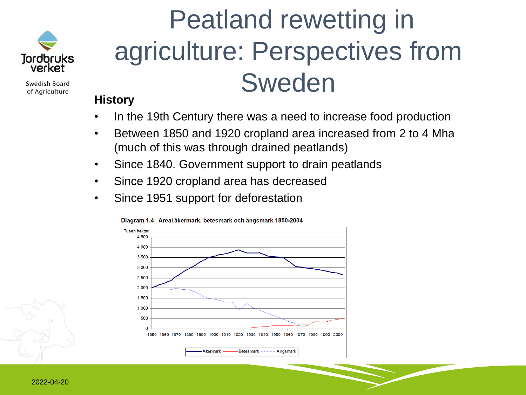

Swedish Board of Agriculture

# Peatland rewetting in agriculture: Perspectives from Sweden

#### **History**

- In the 19th Century there was a need to increase food production
- Between 1850 and 1920 cropland area increased from 2 to 4 Mha (much of this was through drained peatlands)
- Since 1840. Government support to drain peatlands
- Since 1920 cropland area has decreased
- Since 1951 support for deforestation



Diagram 1.4 Areal åkermark, betesmark och ängsmark 1850-2004

2022-04-20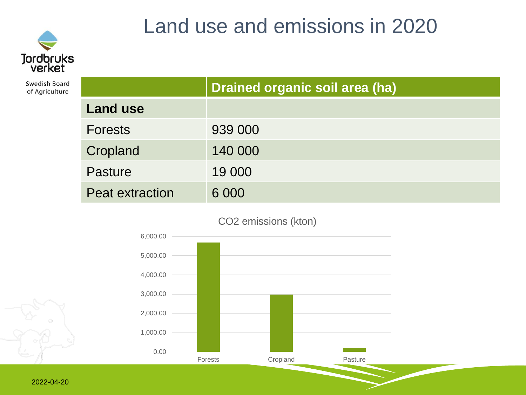

Swedish Board of Agriculture

### Land use and emissions in 2020

|                        | Drained organic soil area (ha) |  |
|------------------------|--------------------------------|--|
| <b>Land use</b>        |                                |  |
| <b>Forests</b>         | 939 000                        |  |
| Cropland               | 140 000                        |  |
| Pasture                | 19 000                         |  |
| <b>Peat extraction</b> | 6 0 0 0                        |  |



CO2 emissions (kton)

2022-04-20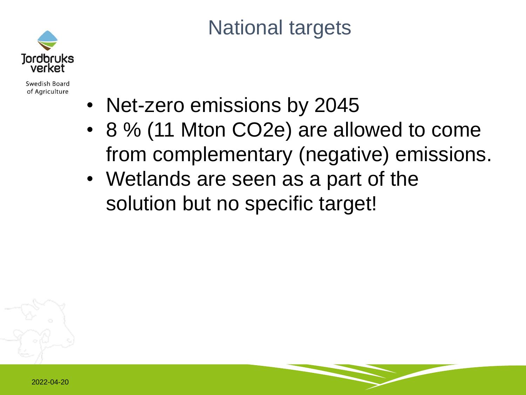

Swedish Board of Agriculture

### National targets

- Net-zero emissions by 2045
- 8 % (11 Mton CO2e) are allowed to come from complementary (negative) emissions.
- Wetlands are seen as a part of the solution but no specific target!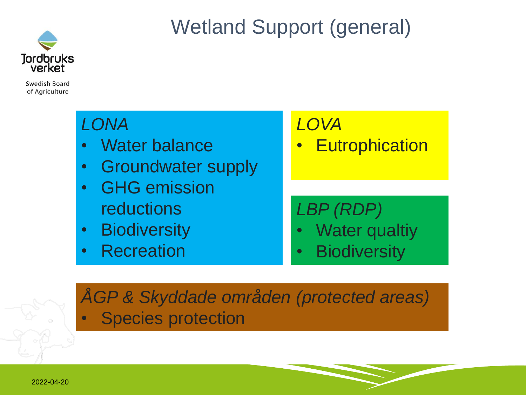

## Wetland Support (general)

Swedish Board of Agriculture

### *LONA*

- Water balance
- Groundwater supply
- GHG emission reductions
- Biodiversity
- Recreation

#### *LOVA*

**Eutrophication** 

### *LBP (RDP)*

- Water qualtiy
- Biodiversity

*ÅGP & Skyddade områden (protected areas)* Species protection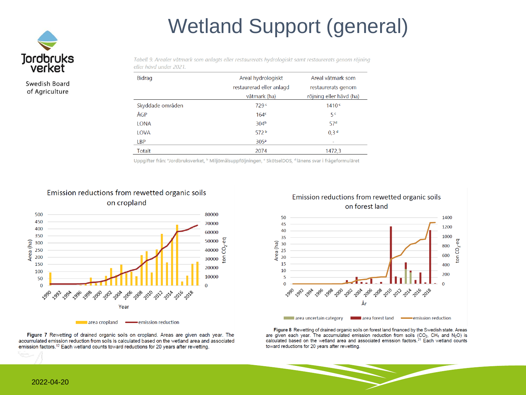## Wetland Support (general)



Swedish Board of Agriculture

Tabell 9. Arealer våtmark som anlagts eller restaurerats hydrologiskt samt restaurerats genom röjning eller hävd under 2021.

| Bidrag           | Areal hydrologiskt       | Areal våtmark som        |
|------------------|--------------------------|--------------------------|
|                  | restaurerad eller anlagd | restaurerats genom       |
|                  | våtmark (ha)             | röjning eller hävd (ha)  |
| Skyddade områden | 729c                     | 1410 <sup>c</sup>        |
| ÅGP              | 164 <sup>c</sup>         | 5 <sup>c</sup>           |
| <b>LONA</b>      | 304 <sup>b</sup>         | 57 <sup>d</sup>          |
| LOVA             | 572 <sup>b</sup>         | 0.3 <sup>d</sup>         |
| <b>LBP</b>       | 305 <sup>a</sup>         | $\overline{\phantom{0}}$ |
| <b>Totalt</b>    | 2074                     | 1472.3                   |

Uppgifter från: <sup>a</sup>Jordbruksverket, <sup>b</sup> Miljömålsuppföljningen, <sup>c</sup> SkötselDOS, <sup>d</sup>länens svar i frågeformuläret



Figure 7 Rewetting of drained organic soils on cropland. Areas are given each year. The accumulated emission reduction from soils is calculated based on the wetland area and associated emission factors.<sup>12</sup> Each wetland counts toward reductions for 20 years after rewetting.



Figure 8 Rewetting of drained organic soils on forest land financed by the Swedish state. Areas are given each year. The accumulated emission reduction from soils (CO<sub>2</sub>, CH<sub>4</sub> and N<sub>2</sub>O) is calculated based on the wetland area and associated emission factors.<sup>21</sup> Each wetland counts toward reductions for 20 years after rewetting.